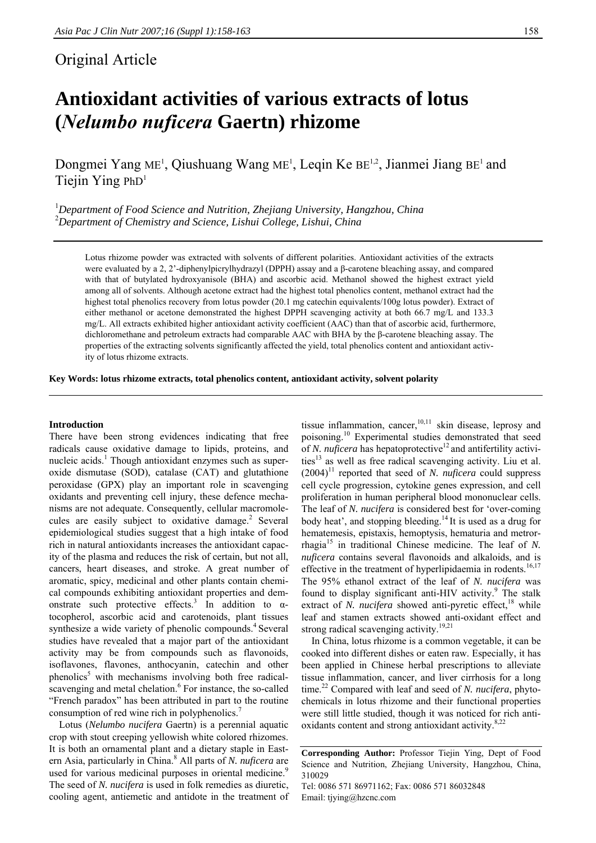# Original Article

# **Antioxidant activities of various extracts of lotus (***Nelumbo nuficera* **Gaertn) rhizome**

Dongmei Yang ME<sup>1</sup>, Qiushuang Wang ME<sup>1</sup>, Leqin Ke BE<sup>1,2</sup>, Jianmei Jiang BE<sup>1</sup> and Tiejin Ying  $PhD<sup>1</sup>$ 

<sup>1</sup>Department of Food Science and Nutrition, Zhejiang University, Hangzhou, China 2 *Department of Chemistry and Science, Lishui College, Lishui, China* 

Lotus rhizome powder was extracted with solvents of different polarities. Antioxidant activities of the extracts were evaluated by a 2, 2'-diphenylpicrylhydrazyl (DPPH) assay and a β-carotene bleaching assay, and compared with that of butylated hydroxyanisole (BHA) and ascorbic acid. Methanol showed the highest extract yield among all of solvents. Although acetone extract had the highest total phenolics content, methanol extract had the highest total phenolics recovery from lotus powder (20.1 mg catechin equivalents/100g lotus powder). Extract of either methanol or acetone demonstrated the highest DPPH scavenging activity at both 66.7 mg/L and 133.3 mg/L. All extracts exhibited higher antioxidant activity coefficient (AAC) than that of ascorbic acid, furthermore, dichloromethane and petroleum extracts had comparable AAC with BHA by the β-carotene bleaching assay. The properties of the extracting solvents significantly affected the yield, total phenolics content and antioxidant activity of lotus rhizome extracts.

**Key Words: lotus rhizome extracts, total phenolics content, antioxidant activity, solvent polarity** 

#### **Introduction**

There have been strong evidences indicating that free radicals cause oxidative damage to lipids, proteins, and nucleic acids.<sup>1</sup> Though antioxidant enzymes such as superoxide dismutase (SOD), catalase (CAT) and glutathione peroxidase (GPX) play an important role in scavenging oxidants and preventing cell injury, these defence mechanisms are not adequate. Consequently, cellular macromolecules are easily subject to oxidative damage.<sup>2</sup> Several epidemiological studies suggest that a high intake of food rich in natural antioxidants increases the antioxidant capacity of the plasma and reduces the risk of certain, but not all, cancers, heart diseases, and stroke. A great number of aromatic, spicy, medicinal and other plants contain chemical compounds exhibiting antioxidant properties and demonstrate such protective effects.<sup>3</sup> In addition to  $\alpha$ tocopherol, ascorbic acid and carotenoids, plant tissues synthesize a wide variety of phenolic compounds.<sup>4</sup> Several studies have revealed that a major part of the antioxidant activity may be from compounds such as flavonoids, isoflavones, flavones, anthocyanin, catechin and other phenolics<sup>5</sup> with mechanisms involving both free radicalscavenging and metal chelation.<sup>6</sup> For instance, the so-called "French paradox" has been attributed in part to the routine consumption of red wine rich in polyphenolics.

Lotus (*Nelumbo nucifera* Gaertn) is a perennial aquatic crop with stout creeping yellowish white colored rhizomes. It is both an ornamental plant and a dietary staple in Eastern Asia, particularly in China.<sup>8</sup> All parts of *N. nuficera* are used for various medicinal purposes in oriental medicine.<sup>9</sup> The seed of *N. nucifera* is used in folk remedies as diuretic, cooling agent, antiemetic and antidote in the treatment of

tissue inflammation, cancer,  $10,11$  skin disease, leprosy and poisoning.10 Experimental studies demonstrated that seed of *N. nuficera* has hepatoprotective<sup>12</sup> and antifertility activities $13$  as well as free radical scavenging activity. Liu et al.  $(2004)^{11}$  reported that seed of *N. nuficera* could suppress cell cycle progression, cytokine genes expression, and cell proliferation in human peripheral blood mononuclear cells. The leaf of *N. nucifera* is considered best for 'over-coming body heat', and stopping bleeding.<sup>14</sup> It is used as a drug for hematemesis, epistaxis, hemoptysis, hematuria and metrorrhagia<sup>15</sup> in traditional Chinese medicine. The leaf of *N*. *nuficera* contains several flavonoids and alkaloids, and is effective in the treatment of hyperlipidaemia in rodents.<sup>16,17</sup> The 95% ethanol extract of the leaf of *N. nucifera* was found to display significant anti-HIV activity.<sup>9</sup> The stalk extract of *N. nucifera* showed anti-pyretic effect,<sup>18</sup> while leaf and stamen extracts showed anti-oxidant effect and strong radical scavenging activity.<sup>19,21</sup>

In China, lotus rhizome is a common vegetable, it can be cooked into different dishes or eaten raw. Especially, it has been applied in Chinese herbal prescriptions to alleviate tissue inflammation, cancer, and liver cirrhosis for a long time.<sup>22</sup> Compared with leaf and seed of *N. nucifera*, phytochemicals in lotus rhizome and their functional properties were still little studied, though it was noticed for rich antioxidants content and strong antioxidant activity.<sup>8,22</sup>

Email: tjying@hzcnc.com

**Corresponding Author:** Professor Tiejin Ying, Dept of Food Science and Nutrition, Zheijang University, Hangzhou, China, 310029 Tel: 0086 571 86971162; Fax: 0086 571 86032848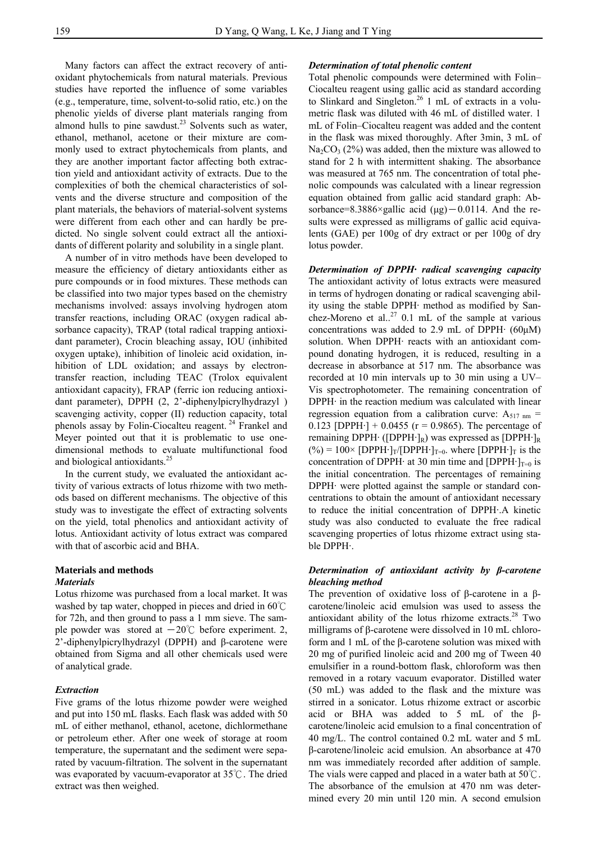Many factors can affect the extract recovery of antioxidant phytochemicals from natural materials. Previous studies have reported the influence of some variables (e.g., temperature, time, solvent-to-solid ratio, etc.) on the phenolic yields of diverse plant materials ranging from almond hulls to pine sawdust. $23$  Solvents such as water, ethanol, methanol, acetone or their mixture are commonly used to extract phytochemicals from plants, and they are another important factor affecting both extraction yield and antioxidant activity of extracts. Due to the complexities of both the chemical characteristics of solvents and the diverse structure and composition of the plant materials, the behaviors of material-solvent systems were different from each other and can hardly be predicted. No single solvent could extract all the antioxidants of different polarity and solubility in a single plant.

A number of in vitro methods have been developed to measure the efficiency of dietary antioxidants either as pure compounds or in food mixtures. These methods can be classified into two major types based on the chemistry mechanisms involved: assays involving hydrogen atom transfer reactions, including ORAC (oxygen radical absorbance capacity), TRAP (total radical trapping antioxidant parameter), Crocin bleaching assay, IOU (inhibited oxygen uptake), inhibition of linoleic acid oxidation, inhibition of LDL oxidation; and assays by electrontransfer reaction, including TEAC (Trolox equivalent antioxidant capacity), FRAP (ferric ion reducing antioxidant parameter), DPPH (2, 2'-diphenylpicrylhydrazyl ) scavenging activity, copper (II) reduction capacity, total phenols assay by Folin-Ciocalteu reagent. 24 Frankel and Meyer pointed out that it is problematic to use onedimensional methods to evaluate multifunctional food and biological antioxidants.<sup>25</sup>

In the current study, we evaluated the antioxidant activity of various extracts of lotus rhizome with two methods based on different mechanisms. The objective of this study was to investigate the effect of extracting solvents on the yield, total phenolics and antioxidant activity of lotus. Antioxidant activity of lotus extract was compared with that of ascorbic acid and BHA.

## **Materials and methods**  *Materials*

Lotus rhizome was purchased from a local market. It was washed by tap water, chopped in pieces and dried in 60℃ for 72h, and then ground to pass a 1 mm sieve. The sample powder was stored at  $-20^{\circ}$ C before experiment. 2, 2'-diphenylpicrylhydrazyl (DPPH) and β-carotene were obtained from Sigma and all other chemicals used were of analytical grade.

#### *Extraction*

Five grams of the lotus rhizome powder were weighed and put into 150 mL flasks. Each flask was added with 50 mL of either methanol, ethanol, acetone, dichlormethane or petroleum ether. After one week of storage at room temperature, the supernatant and the sediment were separated by vacuum-filtration. The solvent in the supernatant was evaporated by vacuum-evaporator at 35℃. The dried extract was then weighed.

#### *Determination of total phenolic content*

Total phenolic compounds were determined with Folin– Ciocalteu reagent using gallic acid as standard according to Slinkard and Singleton.<sup>26</sup> 1 mL of extracts in a volumetric flask was diluted with 46 mL of distilled water. 1 mL of Folin–Ciocalteu reagent was added and the content in the flask was mixed thoroughly. After 3min, 3 mL of  $Na_2CO_3$  (2%) was added, then the mixture was allowed to stand for 2 h with intermittent shaking. The absorbance was measured at 765 nm. The concentration of total phenolic compounds was calculated with a linear regression equation obtained from gallic acid standard graph: Absorbance=8.3886×gallic acid (μg)-0.0114. And the results were expressed as milligrams of gallic acid equivalents (GAE) per 100g of dry extract or per 100g of dry lotus powder.

*Determination of DPPH***·** *radical scavenging capacity* The antioxidant activity of lotus extracts were measured in terms of hydrogen donating or radical scavenging ability using the stable DPPH· method as modified by Sanchez-Moreno et al..<sup>27</sup> 0.1 mL of the sample at various concentrations was added to 2.9 mL of DPPH· (60μM) solution. When DPPH· reacts with an antioxidant compound donating hydrogen, it is reduced, resulting in a decrease in absorbance at 517 nm. The absorbance was recorded at 10 min intervals up to 30 min using a UV– Vis spectrophotometer. The remaining concentration of DPPH· in the reaction medium was calculated with linear regression equation from a calibration curve:  $A_{517 \text{ nm}}$  = 0.123 [DPPH $\cdot$ ] + 0.0455 (r = 0.9865). The percentage of remaining DPPH· ([DPPH·]<sub>R</sub>) was expressed as [DPPH·]<sub>R</sub>  $(\%)=100\times$  [DPPH·]<sub>T</sub>/[DPPH·]<sub>T=0</sub>. where [DPPH·]<sub>T</sub> is the concentration of DPPH $\cdot$  at 30 min time and [DPPH $\cdot$ ]<sub>T=0</sub> is the initial concentration. The percentages of remaining DPPH· were plotted against the sample or standard concentrations to obtain the amount of antioxidant necessary to reduce the initial concentration of DPPH·.A kinetic study was also conducted to evaluate the free radical scavenging properties of lotus rhizome extract using stable DPPH·.

# *Determination of antioxidant activity by β-carotene bleaching method*

The prevention of oxidative loss of β-carotene in a βcarotene/linoleic acid emulsion was used to assess the antioxidant ability of the lotus rhizome extracts.<sup>28</sup> Two milligrams of β-carotene were dissolved in 10 mL chloroform and 1 mL of the β-carotene solution was mixed with 20 mg of purified linoleic acid and 200 mg of Tween 40 emulsifier in a round-bottom flask, chloroform was then removed in a rotary vacuum evaporator. Distilled water (50 mL) was added to the flask and the mixture was stirred in a sonicator. Lotus rhizome extract or ascorbic acid or BHA was added to 5 mL of the βcarotene/linoleic acid emulsion to a final concentration of 40 mg/L. The control contained 0.2 mL water and 5 mL β-carotene/linoleic acid emulsion. An absorbance at 470 nm was immediately recorded after addition of sample. The vials were capped and placed in a water bath at 50℃. The absorbance of the emulsion at 470 nm was determined every 20 min until 120 min. A second emulsion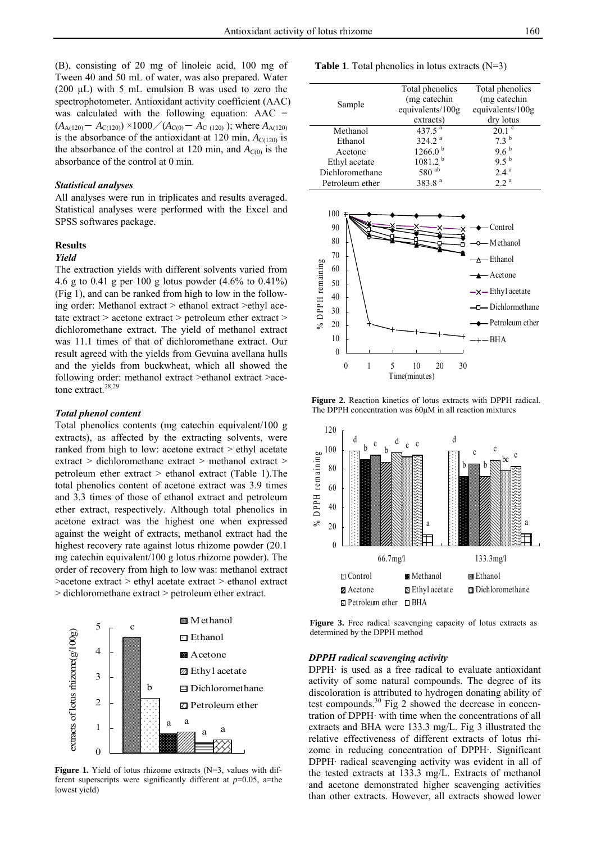(B), consisting of 20 mg of linoleic acid, 100 mg of Tween 40 and 50 mL of water, was also prepared. Water (200  $\mu$ L) with 5 mL emulsion B was used to zero the spectrophotometer. Antioxidant activity coefficient (AAC) was calculated with the following equation:  $AAC =$  $(A_{A(120)} - A_{C(120)}) \times 1000 / (A_{C(0)} - A_{C(120)})$ ; where  $A_{A(120)}$ is the absorbance of the antioxidant at 120 min,  $A_{C(120)}$  is the absorbance of the control at 120 min, and  $A_{C(0)}$  is the absorbance of the control at 0 min.

#### *Statistical analyses*

All analyses were run in triplicates and results averaged. Statistical analyses were performed with the Excel and SPSS softwares package.

#### **Results**

#### *Yield*

The extraction yields with different solvents varied from 4.6 g to 0.41 g per 100 g lotus powder (4.6% to 0.41%) (Fig 1), and can be ranked from high to low in the following order: Methanol extract > ethanol extract >ethyl acetate extract > acetone extract > petroleum ether extract > dichloromethane extract. The yield of methanol extract was 11.1 times of that of dichloromethane extract. Our result agreed with the yields from Gevuina avellana hulls and the yields from buckwheat, which all showed the following order: methanol extract >ethanol extract >acetone extract.<sup>28,29</sup>

#### *Total phenol content*

Total phenolics contents (mg catechin equivalent/100 g extracts), as affected by the extracting solvents, were ranked from high to low: acetone extract > ethyl acetate extract > dichloromethane extract > methanol extract > petroleum ether extract > ethanol extract (Table 1).The total phenolics content of acetone extract was 3.9 times and 3.3 times of those of ethanol extract and petroleum ether extract, respectively. Although total phenolics in acetone extract was the highest one when expressed against the weight of extracts, methanol extract had the highest recovery rate against lotus rhizome powder (20.1 mg catechin equivalent/100 g lotus rhizome powder). The order of recovery from high to low was: methanol extract >acetone extract > ethyl acetate extract > ethanol extract > dichloromethane extract > petroleum ether extract.



Figure 1. Yield of lotus rhizome extracts (N=3, values with different superscripts were significantly different at *p*=0.05, a=the lowest yield)

**Table 1**. Total phenolics in lotus extracts (N=3)

| Sample          | Total phenolics     | Total phenolics  |
|-----------------|---------------------|------------------|
|                 | (mg catechin        | (mg catechin     |
|                 | equivalents/100g    | equivalents/100g |
|                 | extracts)           | dry lotus        |
| Methanol        | 437.5 $^{a}$        | $20.1$ $\degree$ |
| Ethanol         | 324.2 <sup>a</sup>  | 73 <sup>b</sup>  |
| Acetone         | 1266.0 <sup>b</sup> | $9.6^{b}$        |
| Ethyl acetate   | 1081.2 <sup>b</sup> | $9.5^{b}$        |
| Dichloromethane | 580 ab              | 2.4a             |
| Petroleum ether | 383.8 <sup>a</sup>  | 2.2 <sup>a</sup> |



**Figure 2.** Reaction kinetics of lotus extracts with DPPH radical. The DPPH concentration was 60μM in all reaction mixtures



**Figure 3.** Free radical scavenging capacity of lotus extracts as determined by the DPPH method

#### *DPPH radical scavenging activity*

DPPH· is used as a free radical to evaluate antioxidant activity of some natural compounds. The degree of its discoloration is attributed to hydrogen donating ability of test compounds. $30$  Fig 2 showed the decrease in concentration of DPPH· with time when the concentrations of all extracts and BHA were 133.3 mg/L. Fig 3 illustrated the relative effectiveness of different extracts of lotus rhizome in reducing concentration of DPPH·. Significant DPPH· radical scavenging activity was evident in all of the tested extracts at 133.3 mg/L. Extracts of methanol and acetone demonstrated higher scavenging activities than other extracts. However, all extracts showed lower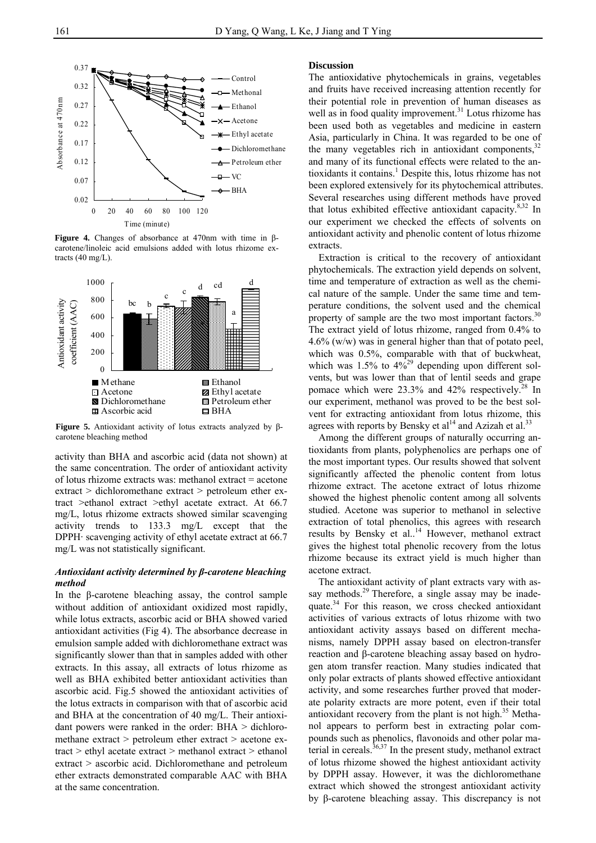

**Figure 4.** Changes of absorbance at 470nm with time in βcarotene/linoleic acid emulsions added with lotus rhizome extracts (40 mg/L).



**Figure 5.** Antioxidant activity of lotus extracts analyzed by βcarotene bleaching method

activity than BHA and ascorbic acid (data not shown) at the same concentration. The order of antioxidant activity of lotus rhizome extracts was: methanol extract = acetone extract > dichloromethane extract > petroleum ether extract >ethanol extract >ethyl acetate extract. At 66.7 mg/L, lotus rhizome extracts showed similar scavenging activity trends to 133.3 mg/L except that the DPPH· scavenging activity of ethyl acetate extract at 66.7 mg/L was not statistically significant.

### *Antioxidant activity determined by β-carotene bleaching method*

In the β-carotene bleaching assay, the control sample without addition of antioxidant oxidized most rapidly, while lotus extracts, ascorbic acid or BHA showed varied antioxidant activities (Fig 4). The absorbance decrease in emulsion sample added with dichloromethane extract was significantly slower than that in samples added with other extracts. In this assay, all extracts of lotus rhizome as well as BHA exhibited better antioxidant activities than ascorbic acid. Fig.5 showed the antioxidant activities of the lotus extracts in comparison with that of ascorbic acid and BHA at the concentration of 40 mg/L. Their antioxidant powers were ranked in the order: BHA > dichloromethane extract > petroleum ether extract > acetone extract > ethyl acetate extract > methanol extract > ethanol extract > ascorbic acid. Dichloromethane and petroleum ether extracts demonstrated comparable AAC with BHA at the same concentration.

#### **Discussion**

The antioxidative phytochemicals in grains, vegetables and fruits have received increasing attention recently for their potential role in prevention of human diseases as well as in food quality improvement.<sup>31</sup> Lotus rhizome has been used both as vegetables and medicine in eastern Asia, particularly in China. It was regarded to be one of the many vegetables rich in antioxidant components.<sup>32</sup> and many of its functional effects were related to the antioxidants it contains.<sup>1</sup> Despite this, lotus rhizome has not been explored extensively for its phytochemical attributes. Several researches using different methods have proved that lotus exhibited effective antioxidant capacity. $8,32$  In our experiment we checked the effects of solvents on antioxidant activity and phenolic content of lotus rhizome extracts.

Extraction is critical to the recovery of antioxidant phytochemicals. The extraction yield depends on solvent, time and temperature of extraction as well as the chemical nature of the sample. Under the same time and temperature conditions, the solvent used and the chemical property of sample are the two most important factors.<sup>30</sup> The extract yield of lotus rhizome, ranged from 0.4% to 4.6% (w/w) was in general higher than that of potato peel, which was  $0.5\%$ , comparable with that of buckwheat, which was  $1.5\%$  to  $4\%^{29}$  depending upon different solvents, but was lower than that of lentil seeds and grape pomace which were  $23.3\%$  and  $42\%$  respectively.<sup>28</sup> In our experiment, methanol was proved to be the best solvent for extracting antioxidant from lotus rhizome, this agrees with reports by Bensky et  $al^{14}$  and Azizah et al.<sup>33</sup>

Among the different groups of naturally occurring antioxidants from plants, polyphenolics are perhaps one of the most important types. Our results showed that solvent significantly affected the phenolic content from lotus rhizome extract. The acetone extract of lotus rhizome showed the highest phenolic content among all solvents studied. Acetone was superior to methanol in selective extraction of total phenolics, this agrees with research results by Bensky et al..<sup>14</sup> However, methanol extract gives the highest total phenolic recovery from the lotus rhizome because its extract yield is much higher than acetone extract.

The antioxidant activity of plant extracts vary with assay methods.<sup>29</sup> Therefore, a single assay may be inadequate.<sup>34</sup> For this reason, we cross checked antioxidant activities of various extracts of lotus rhizome with two antioxidant activity assays based on different mechanisms, namely DPPH assay based on electron-transfer reaction and β-carotene bleaching assay based on hydrogen atom transfer reaction. Many studies indicated that only polar extracts of plants showed effective antioxidant activity, and some researches further proved that moderate polarity extracts are more potent, even if their total antioxidant recovery from the plant is not high. $35$  Methanol appears to perform best in extracting polar compounds such as phenolics, flavonoids and other polar material in cereals.<sup>36,37</sup> In the present study, methanol extract of lotus rhizome showed the highest antioxidant activity by DPPH assay. However, it was the dichloromethane extract which showed the strongest antioxidant activity by β-carotene bleaching assay. This discrepancy is not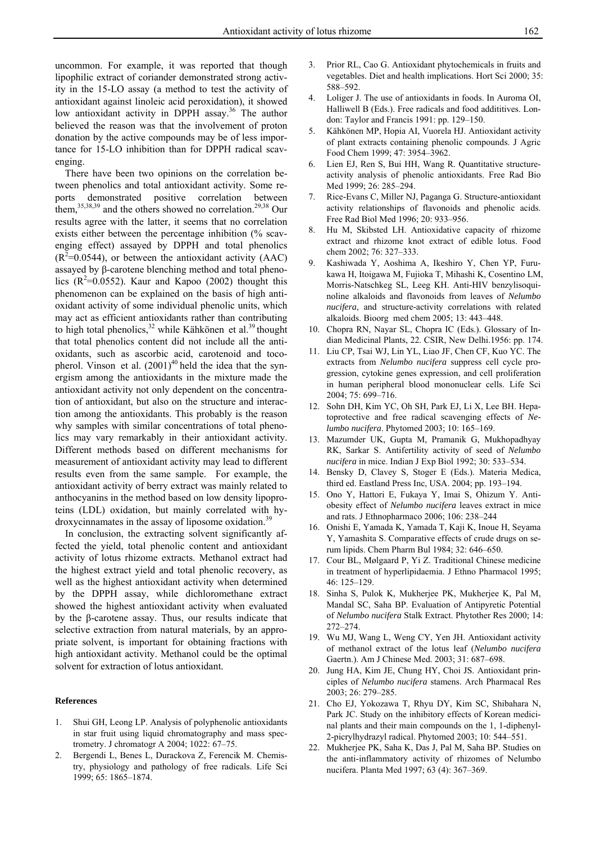uncommon. For example, it was reported that though lipophilic extract of coriander demonstrated strong activity in the 15-LO assay (a method to test the activity of antioxidant against linoleic acid peroxidation), it showed low antioxidant activity in DPPH assay.<sup>36</sup> The author believed the reason was that the involvement of proton donation by the active compounds may be of less importance for 15-LO inhibition than for DPPH radical scavenging.

There have been two opinions on the correlation between phenolics and total antioxidant activity. Some reports demonstrated positive correlation between them,<sup>35,38,39</sup> and the others showed no correlation.<sup>29,38</sup> Our results agree with the latter, it seems that no correlation exists either between the percentage inhibition (% scavenging effect) assayed by DPPH and total phenolics  $(R^2=0.0544)$ , or between the antioxidant activity (AAC) assayed by β-carotene blenching method and total phenolics  $(R^2=0.0552)$ . Kaur and Kapoo (2002) thought this phenomenon can be explained on the basis of high antioxidant activity of some individual phenolic units, which may act as efficient antioxidants rather than contributing to high total phenolics, $32$  while Kähkönen et al.<sup>39</sup> thought that total phenolics content did not include all the antioxidants, such as ascorbic acid, carotenoid and tocopherol. Vinson et al.  $(2001)^{40}$  held the idea that the synergism among the antioxidants in the mixture made the antioxidant activity not only dependent on the concentration of antioxidant, but also on the structure and interaction among the antioxidants. This probably is the reason why samples with similar concentrations of total phenolics may vary remarkably in their antioxidant activity. Different methods based on different mechanisms for measurement of antioxidant activity may lead to different results even from the same sample. For example, the antioxidant activity of berry extract was mainly related to anthocyanins in the method based on low density lipoproteins (LDL) oxidation, but mainly correlated with hydroxycinnamates in the assay of liposome oxidation.<sup>39</sup>

In conclusion, the extracting solvent significantly affected the yield, total phenolic content and antioxidant activity of lotus rhizome extracts. Methanol extract had the highest extract yield and total phenolic recovery, as well as the highest antioxidant activity when determined by the DPPH assay, while dichloromethane extract showed the highest antioxidant activity when evaluated by the β-carotene assay. Thus, our results indicate that selective extraction from natural materials, by an appropriate solvent, is important for obtaining fractions with high antioxidant activity. Methanol could be the optimal solvent for extraction of lotus antioxidant.

#### **References**

- 1. Shui GH, Leong LP. Analysis of polyphenolic antioxidants in star fruit using liquid chromatography and mass spectrometry. J chromatogr A 2004; 1022: 67–75.
- 2. Bergendi L, Benes L, Durackova Z, Ferencik M. Chemistry, physiology and pathology of free radicals. Life Sci 1999; 65: 1865–1874.
- 3. Prior RL, Cao G. Antioxidant phytochemicals in fruits and vegetables. Diet and health implications. Hort Sci 2000; 35: 588–592.
- 4. Loliger J. The use of antioxidants in foods. In Auroma OI, Halliwell B (Eds.). Free radicals and food addititives. London: Taylor and Francis 1991: pp. 129–150.
- 5. Kähkönen MP, Hopia AI, Vuorela HJ. Antioxidant activity of plant extracts containing phenolic compounds. J Agric Food Chem 1999; 47: 3954–3962.
- 6. Lien EJ, Ren S, Bui HH, Wang R. Quantitative structureactivity analysis of phenolic antioxidants. Free Rad Bio Med 1999; 26: 285–294.
- 7. Rice-Evans C, Miller NJ, Paganga G. Structure-antioxidant activity relationships of flavonoids and phenolic acids. Free Rad Biol Med 1996; 20: 933–956.
- 8. Hu M, Skibsted LH. Antioxidative capacity of rhizome extract and rhizome knot extract of edible lotus. Food chem 2002; 76: 327–333.
- 9. Kashiwada Y, Aoshima A, Ikeshiro Y, Chen YP, Furukawa H, Itoigawa M, Fujioka T, Mihashi K, Cosentino LM, Morris-Natschkeg SL, Leeg KH. Anti-HIV benzylisoquinoline alkaloids and flavonoids from leaves of *Nelumbo nucifera*, and structure-activity correlations with related alkaloids. Bioorg med chem 2005; 13: 443–448.
- 10. Chopra RN, Nayar SL, Chopra IC (Eds.). Glossary of Indian Medicinal Plants, 22. CSIR, New Delhi.1956: pp. 174.
- 11. Liu CP, Tsai WJ, Lin YL, Liao JF, Chen CF, Kuo YC. The extracts from *Nelumbo nucifera* suppress cell cycle progression, cytokine genes expression, and cell proliferation in human peripheral blood mononuclear cells. Life Sci 2004; 75: 699–716.
- 12. Sohn DH, Kim YC, Oh SH, Park EJ, Li X, Lee BH. Hepatoprotective and free radical scavenging effects of *Nelumbo nucifera*. Phytomed 2003; 10: 165–169.
- 13. Mazumder UK, Gupta M, Pramanik G, Mukhopadhyay RK, Sarkar S. Antifertility activity of seed of *Nelumbo nucifera* in mice. Indian J Exp Biol 1992; 30: 533–534.
- 14. Bensky D, Clavey S, Stoger E (Eds.). Materia Medica, third ed. Eastland Press Inc, USA. 2004; pp. 193–194.
- 15. Ono Y, Hattori E, Fukaya Y, Imai S, Ohizum Y. Antiobesity effect of *Nelumbo nucifera* leaves extract in mice and rats. J Ethnopharmaco 2006; 106: 238–244
- 16. Onishi E, Yamada K, Yamada T, Kaji K, Inoue H, Seyama Y, Yamashita S. Comparative effects of crude drugs on serum lipids. Chem Pharm Bul 1984; 32: 646–650.
- 17. Cour BL, Mølgaard P, Yi Z. Traditional Chinese medicine in treatment of hyperlipidaemia. J Ethno Pharmacol 1995; 46: 125–129.
- 18. Sinha S, Pulok K, Mukherjee PK, Mukherjee K, Pal M, Mandal SC, Saha BP. Evaluation of Antipyretic Potential of *Nelumbo nucifera* Stalk Extract. Phytother Res 2000; 14: 272–274.
- 19. Wu MJ, Wang L, Weng CY, Yen JH. Antioxidant activity of methanol extract of the lotus leaf (*Nelumbo nucifera* Gaertn.). Am J Chinese Med. 2003; 31: 687–698.
- 20. Jung HA, Kim JE, Chung HY, Choi JS. Antioxidant principles of *Nelumbo nucifera* stamens. Arch Pharmacal Res 2003; 26: 279–285.
- 21. Cho EJ, Yokozawa T, Rhyu DY, Kim SC, Shibahara N, Park JC. Study on the inhibitory effects of Korean medicinal plants and their main compounds on the 1, 1-diphenyl-2-picrylhydrazyl radical. Phytomed 2003; 10: 544–551.
- 22. Mukherjee PK, Saha K, Das J, Pal M, Saha BP. Studies on the anti-inflammatory activity of rhizomes of Nelumbo nucifera. Planta Med 1997; 63 (4): 367–369.